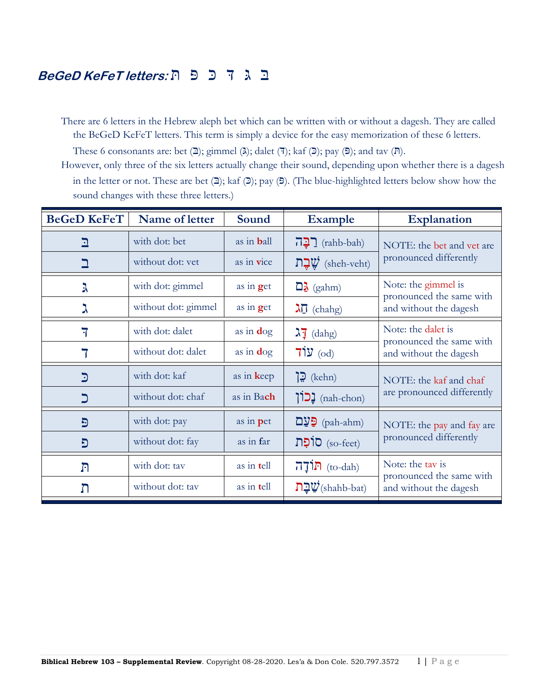# בּ ּג ּד כּ פּ ת **:letters KeFeT BeGeD**

There are 6 letters in the Hebrew aleph bet which can be written with or without a dagesh. They are called the BeGeD KeFeT letters. This term is simply a device for the easy memorization of these 6 letters.

These 6 consonants are: bet  $(2)$ ; gimmel ( $\lambda$ ); dalet ( $\overline{7}$ ); kaf ( $\overline{2}$ ); pay ( $\overline{5}$ ); and tav ( $\overline{R}$ ).

However, only three of the six letters actually change their sound, depending upon whether there is a dagesh in the letter or not. These are bet  $(2)$ ; kaf  $(2)$ ; pay  $(5)$ . (The blue-highlighted letters below show how the sound changes with these three letters.)

| <b>BeGeD KeFeT</b> | Name of letter      | Sound              | <b>Example</b>                                              | <b>Explanation</b>                                                     |
|--------------------|---------------------|--------------------|-------------------------------------------------------------|------------------------------------------------------------------------|
| $\mathbf{\Sigma}$  | with dot: bet       | as in <b>b</b> all | <u>רְבָה</u>                                                | NOTE: the bet and vet are<br>pronounced differently                    |
|                    | without dot: yet    | as in vice         | שֲבַת (sheh-veht)                                           |                                                                        |
| λ                  | with dot: gimmel    | as in get          | $\Box \lambda$ (gahm)                                       | Note: the gimmel is                                                    |
| ℷ                  | without dot: gimmel | as in $get$        | $\lambda \vec{0}$ (chahg)                                   | pronounced the same with<br>and without the dagesh                     |
| 7                  | with dot: dalet     | as in $\deg$       | $\lambda \bar{1}$ (dahg)                                    | Note: the dalet is                                                     |
|                    | without dot: dalet  | as in $\log$       | $71y$ (od)                                                  | pronounced the same with<br>and without the dagesh                     |
| $\mathbf{C}$       | with dot: kaf       | as in keep         | $\mathbf{E}$ (kehn)                                         | NOTE: the kaf and chaf<br>are pronounced differently                   |
| כ                  | without dot: chaf   | as in Bach         | (nah-chon) <b>נַכוֹן</b>                                    |                                                                        |
| Đ                  | with dot: pay       | as in pet          | $D_yD$ (pah-ahm)                                            | NOTE: the pay and fay are<br>pronounced differently                    |
| פ                  | without dot: fay    | as in far          | (so-feet) סוֹפָת                                            |                                                                        |
| $\Gamma$           | with dot: tav       | as in tell         | $\overline{1}\overline{1}\overline{1}\overline{1}$ (to-dah) | Note: the tay is<br>pronounced the same with<br>and without the dagesh |
| ת                  | without dot: tav    | as in tell         | $\mathbf{D}\mathbf{L}\mathbf{V}$ (shahb-bat)                |                                                                        |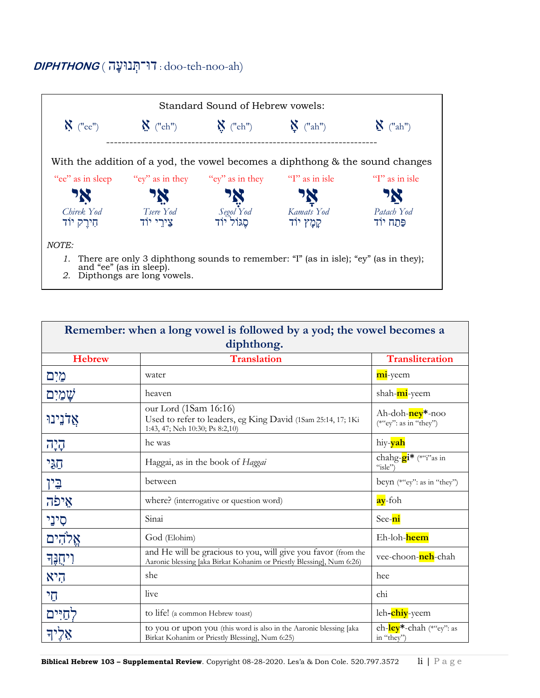## **DIPHTHONG** ( ה נוּע ְּדוּ־ת : doo-teh-noo-ah)



| Remember: when a long vowel is followed by a yod; the vowel becomes a<br>diphthong. |                                                                                                                                        |                                                         |
|-------------------------------------------------------------------------------------|----------------------------------------------------------------------------------------------------------------------------------------|---------------------------------------------------------|
| <b>Hebrew</b>                                                                       | <b>Translation</b>                                                                                                                     | <b>Transliteration</b>                                  |
| מיִם                                                                                | water                                                                                                                                  | mi-yeem                                                 |
| שַׁמַיִם                                                                            | heaven                                                                                                                                 | shah-mi-yeem                                            |
| אַלֹנֵינוּ                                                                          | our Lord (1Sam 16:16)<br>Used to refer to leaders, eg King David (1Sam 25:14, 17; 1Ki<br>1:43, 47; Neh 10:30; Ps 8:2,10)               | Ah-doh- <mark>ney</mark> *-noo<br>(*"ey": as in "they") |
| קיָה                                                                                | he was                                                                                                                                 | hiy- <b>yah</b>                                         |
| הגי                                                                                 | Haggai, as in the book of <i>Haggai</i>                                                                                                | chahg- <b>gi*</b> (*"i"as in<br>"isle"                  |
| <u>יי</u> ן                                                                         | between                                                                                                                                | beyn (*"ey": as in "they")                              |
| אֵיפֿה                                                                              | where? (interrogative or question word)                                                                                                | ay-foh                                                  |
| סִינֵי                                                                              | Sinai                                                                                                                                  | See-ni                                                  |
| אֵלהִים                                                                             | God (Elohim)                                                                                                                           | Eh-loh-heem                                             |
| <b>ויחֶנֶּד</b>                                                                     | and He will be gracious to you, will give you favor (from the<br>Aaronic blessing [aka Birkat Kohanim or Priestly Blessing], Num 6:26) | vee-choon-neh-chah                                      |
| היא                                                                                 | she                                                                                                                                    | hee                                                     |
| הי                                                                                  | live                                                                                                                                   | chi                                                     |
| לחיים                                                                               | to life! (a common Hebrew toast)                                                                                                       | leh- <b>chiy</b> -yeem                                  |
|                                                                                     | to you or upon you (this word is also in the Aaronic blessing [aka<br>Birkat Kohanim or Priestly Blessing], Num 6:25)                  | eh-ley <sup>*</sup> -chah (*"ey": as<br>in "they")      |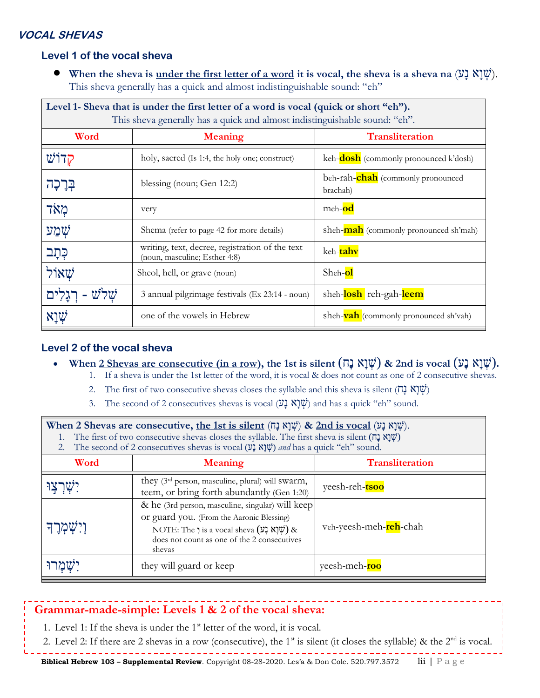### **VOCAL SHEVAS**

### **Level 1 of the vocal sheva**

• When the sheva is <u>under the first letter of a word</u> it is vocal, the sheva is a sheva na  $(\mathcal{Y}, \mathcal{X}, \mathcal{Y}, \mathcal{Y})$ . This sheva generally has a quick and almost indistinguishable sound: "eh"

| Level 1- Sheva that is under the first letter of a word is vocal (quick or short "eh").<br>This sheva generally has a quick and almost indistinguishable sound: "eh". |                                                                                  |                                                       |  |
|-----------------------------------------------------------------------------------------------------------------------------------------------------------------------|----------------------------------------------------------------------------------|-------------------------------------------------------|--|
| Word                                                                                                                                                                  | <b>Meaning</b>                                                                   | <b>Transliteration</b>                                |  |
| הדוש                                                                                                                                                                  | holy, sacred (Is 1:4, the holy one; construct)                                   | keh- <b>dosh</b> (commonly pronounced k'dosh)         |  |
| בְּרָכָה                                                                                                                                                              | blessing (noun; Gen 12:2)                                                        | beh-rah- <b>chah</b> (commonly pronounced<br>brachah) |  |
| מאד                                                                                                                                                                   | very                                                                             | meh-od                                                |  |
| שמע                                                                                                                                                                   | Shema (refer to page 42 for more details)                                        | sheh- <b>mah</b> (commonly pronounced sh'mah)         |  |
| כְּתָֽב                                                                                                                                                               | writing, text, decree, registration of the text<br>(noun, masculine; Esther 4:8) | keh-tahv                                              |  |
| שאול                                                                                                                                                                  | Sheol, hell, or grave (noun)                                                     | Sheh-ol                                               |  |
|                                                                                                                                                                       | 3 annual pilgrimage festivals (Ex 23:14 - noun)                                  | sheh-losh reh-gah-leem                                |  |
| אַוַא                                                                                                                                                                 | one of the vowels in Hebrew                                                      | sheh- <b>vah</b> (commonly pronounced sh'vah)         |  |

### **Level 2 of the vocal sheva**

- When  $2$  Shevas are consecutive (in a row), the 1st is silent  $(\Pi \times \mathbb{N} \mathbb{N})$  & 2nd is vocal  $(\mathbb{V} \times \mathbb{N} \mathbb{N})$ .
	- 1. If a sheva is under the 1st letter of the word, it is vocal & does not count as one of 2 consecutive shevas.
	- 2. The first of two consecutive shevas closes the syllable and this sheva is silent ( $\pi$ )  $\mathbb{N}(\mathcal{V})$
	- 3. The second of 2 consecutives shevas is vocal  $(\mathcal{V} \mathbf{k} \mathbf{k}^{\dagger} \mathbf{k})$  and has a quick "eh" sound.

| When 2 Shevas are consecutive, the 1st is silent (שְׁנָא נָם) & 2nd is vocal (שְׁנָא נָט).<br>The first of two consecutive shevas closes the syllable. The first sheva is silent ( $\overrightarrow{p}$ )<br>The second of 2 consecutives shevas is vocal $(\mathfrak{Y}, \mathfrak{Y}, \mathfrak{Y})$ and has a quick "eh" sound.<br>2. |                                                                                                                                                                                                                                           |                        |  |
|------------------------------------------------------------------------------------------------------------------------------------------------------------------------------------------------------------------------------------------------------------------------------------------------------------------------------------------|-------------------------------------------------------------------------------------------------------------------------------------------------------------------------------------------------------------------------------------------|------------------------|--|
| Word                                                                                                                                                                                                                                                                                                                                     | <b>Meaning</b>                                                                                                                                                                                                                            | <b>Transliteration</b> |  |
|                                                                                                                                                                                                                                                                                                                                          | they (3 <sup>rd</sup> person, masculine, plural) will swarm,<br>teem, or bring forth abundantly (Gen 1:20)                                                                                                                                | yeesh-reh-tsoo         |  |
| וִישְמְרֵך                                                                                                                                                                                                                                                                                                                               | & he (3rd person, masculine, singular) will keep<br>or guard you. (From the Aaronic Blessing)<br>NOTE: The $\eta$ is a vocal sheva $(\nabla \mathbf{X} \mathbf{X} \mathbf{Y})$ &<br>does not count as one of the 2 consecutives<br>shevas | veh-yeesh-meh-reh-chah |  |
|                                                                                                                                                                                                                                                                                                                                          | they will guard or keep                                                                                                                                                                                                                   | yeesh-meh-roo          |  |

### **Grammar-made-simple: Levels 1 & 2 of the vocal sheva:**

- 1. Level 1: If the sheva is under the  $1<sup>st</sup>$  letter of the word, it is vocal.
- 2. Level 2: If there are 2 shevas in a row (consecutive), the 1<sup>st</sup> is silent (it closes the syllable) & the  $2<sup>nd</sup>$  is vocal.